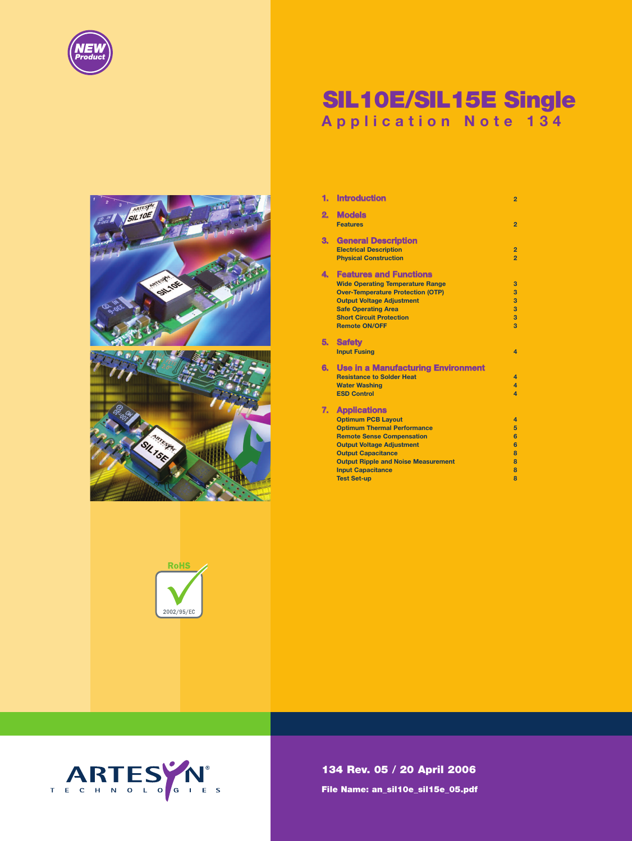

# **SIL10E/SIL15E Single Application Note 134**

| $\overline{2}$<br>3<br>SIL 10E<br>$rac{m}{\sqrt{2}}$ |        |
|------------------------------------------------------|--------|
| <b>Guites Cr.</b><br>a                               | SILIDE |
|                                                      |        |
| <b>SILTSEA</b>                                       |        |



| 2. | <b>Models</b>                              |                         |
|----|--------------------------------------------|-------------------------|
|    | <b>Features</b>                            | $\overline{2}$          |
| З. | <b>General Description</b>                 |                         |
|    | <b>Electrical Description</b>              | $\overline{2}$          |
|    | <b>Physical Construction</b>               | $\overline{2}$          |
| 4. | <b>Features and Functions</b>              |                         |
|    | <b>Wide Operating Temperature Range</b>    | 3                       |
|    | <b>Over-Temperature Protection (OTP)</b>   | 3                       |
|    | <b>Output Voltage Adjustment</b>           | 3                       |
|    | <b>Safe Operating Area</b>                 | 3                       |
|    | <b>Short Circuit Protection</b>            | 3                       |
|    | <b>Remote ON/OFF</b>                       | $\overline{\mathbf{3}}$ |
| 5. | <b>Safety</b>                              |                         |
|    | <b>Input Fusing</b>                        | $\overline{a}$          |
| 6. | <b>Use in a Manufacturing Environment</b>  |                         |
|    | <b>Resistance to Solder Heat</b>           | $\overline{a}$          |
|    | <b>Water Washing</b>                       | $\overline{4}$          |
|    | <b>ESD Control</b>                         | $\overline{a}$          |
| 7. | <b>Applications</b>                        |                         |
|    | <b>Optimum PCB Layout</b>                  | $\overline{\mathbf{A}}$ |
|    | <b>Optimum Thermal Performance</b>         | 5                       |
|    | <b>Remote Sense Compensation</b>           | 6                       |
|    | <b>Output Voltage Adjustment</b>           | 6                       |
|    | <b>Output Capacitance</b>                  | 8                       |
|    | <b>Output Ripple and Noise Measurement</b> | 8                       |
|    | <b>Input Capacitance</b>                   | 8                       |
|    | <b>Test Set-up</b>                         | 8                       |

**1. Introduction 2**



**134 Rev. 05 / 20 April 2006 File Name: an\_sil10e\_sil15e\_05.pdf**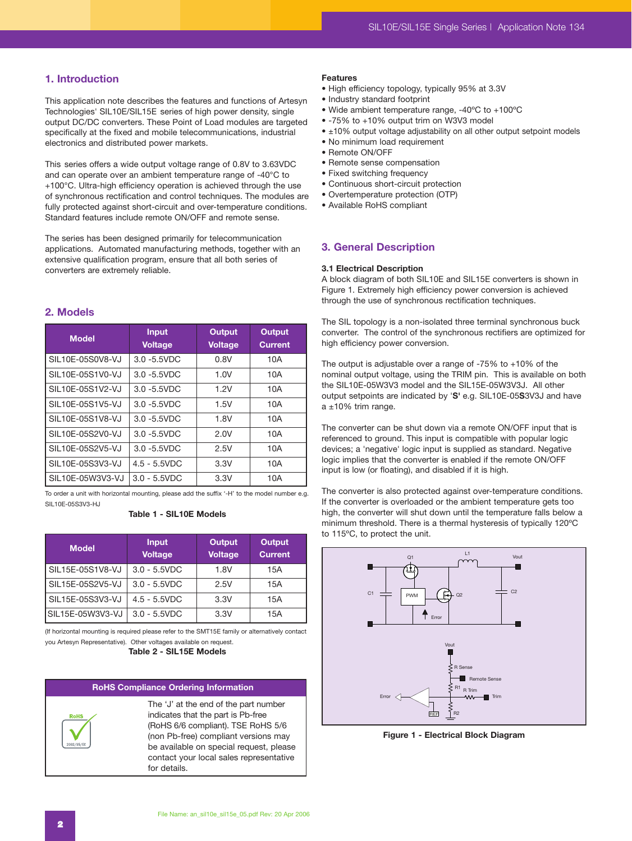# **1. Introduction**

This application note describes the features and functions of Artesyn Technologies' SIL10E/SIL15E series of high power density, single output DC/DC converters. These Point of Load modules are targeted specifically at the fixed and mobile telecommunications, industrial electronics and distributed power markets.

This series offers a wide output voltage range of 0.8V to 3.63VDC and can operate over an ambient temperature range of -40°C to +100°C. Ultra-high efficiency operation is achieved through the use of synchronous rectification and control techniques. The modules are fully protected against short-circuit and over-temperature conditions. Standard features include remote ON/OFF and remote sense.

The series has been designed primarily for telecommunication applications. Automated manufacturing methods, together with an extensive qualification program, ensure that all both series of converters are extremely reliable.

# **2. Models**

| <b>Model</b>     | <b>Input</b><br><b>Voltage</b> | Output<br><b>Voltage</b> | <b>Output</b><br><b>Current</b> |
|------------------|--------------------------------|--------------------------|---------------------------------|
| SIL10E-05S0V8-VJ | $3.0 - 5.5$ VDC                | 0.8V                     | 10A                             |
| SIL10E-05S1V0-VJ | $3.0 - 5.5$ VDC                | 1.0V                     | 10A                             |
| SIL10E-05S1V2-VJ | $3.0 - 5.5$ VDC                | 1.2V                     | 10A                             |
| SIL10E-05S1V5-VJ | $3.0 - 5.5$ VDC                | 1.5V                     | 10A                             |
| SIL10E-05S1V8-VJ | $3.0 - 5.5$ VDC                | 1.8V                     | 10A                             |
| SIL10E-05S2V0-VJ | $3.0 - 5.5$ VDC                | 2.0V                     | 10A                             |
| SIL10E-05S2V5-VJ | $3.0 - 5.5$ VDC                | 2.5V                     | 10A                             |
| SIL10E-05S3V3-VJ | $4.5 - 5.5VDC$                 | 3.3V                     | 10A                             |
| SIL10E-05W3V3-VJ | $3.0 - 5.5VDC$                 | 3.3V                     | 10A                             |

To order a unit with horizontal mounting, please add the suffix '-H' to the model number e.g. SIL10E-05S3V3-HJ

# **Table 1 - SIL10E Models**

| <b>Model</b>      | <b>Input</b><br><b>Voltage</b> | <b>Output</b><br><b>Voltage</b> | <b>Output</b><br><b>Current</b> |
|-------------------|--------------------------------|---------------------------------|---------------------------------|
| SIL15E-05S1V8-VJ  | $3.0 - 5.5VDC$                 | 1.8V                            | 15A                             |
| SIL15E-05S2V5-VJ  | $3.0 - 5.5VDC$                 | 2.5V                            | 15A                             |
| SIL15E-05S3V3-VJ  | $4.5 - 5.5VDC$                 | 3.3V                            | 15A                             |
| ISIL15E-05W3V3-VJ | $3.0 - 5.5VDC$                 | 3.3V                            | 15A                             |

(If horizontal mounting is required please refer to the SMT15E family or alternatively contact you Artesyn Representative). Other voltages available on request.

**Table 2 - SIL15E Models**

# **RoHS Compliance Ordering Information**



The 'J' at the end of the part number indicates that the part is Pb-free (RoHS 6/6 compliant). TSE RoHS 5/6 (non Pb-free) compliant versions may be available on special request, please contact your local sales representative for details.

# **Features**

- High efficiency topology, typically 95% at 3.3V
- Industry standard footprint
- Wide ambient temperature range, -40ºC to +100ºC
- -75% to +10% output trim on W3V3 model
- ±10% output voltage adjustability on all other output setpoint models
- No minimum load requirement
- Remote ON/OFF
- Remote sense compensation
- Fixed switching frequency
- Continuous short-circuit protection
- Overtemperature protection (OTP)
- Available RoHS compliant

# **3. General Description**

#### **3.1 Electrical Description**

A block diagram of both SIL10E and SIL15E converters is shown in Figure 1. Extremely high efficiency power conversion is achieved through the use of synchronous rectification techniques.

The SIL topology is a non-isolated three terminal synchronous buck converter. The control of the synchronous rectifiers are optimized for high efficiency power conversion.

The output is adjustable over a range of -75% to +10% of the nominal output voltage, using the TRIM pin. This is available on both the SIL10E-05W3V3 model and the SIL15E-05W3V3J. All other output setpoints are indicated by '**S'** e.g. SIL10E-05**S**3V3J and have  $a \pm 10\%$  trim range.

The converter can be shut down via a remote ON/OFF input that is referenced to ground. This input is compatible with popular logic devices; a 'negative' logic input is supplied as standard. Negative logic implies that the converter is enabled if the remote ON/OFF input is low (or floating), and disabled if it is high.

The converter is also protected against over-temperature conditions. If the converter is overloaded or the ambient temperature gets too high, the converter will shut down until the temperature falls below a minimum threshold. There is a thermal hysteresis of typically 120ºC to 115ºC, to protect the unit.



**Figure 1 - Electrical Block Diagram**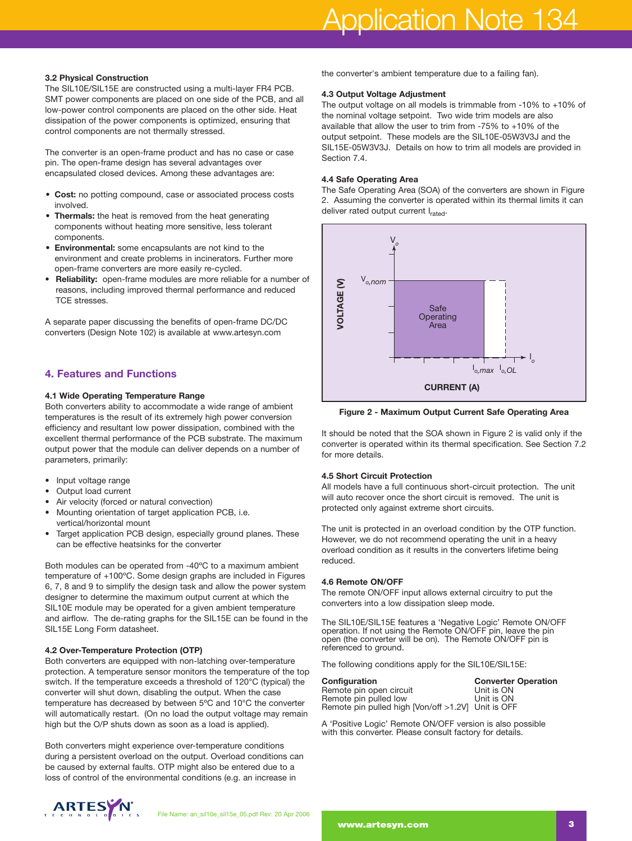#### **3.2 Physical Construction**

The SIL10E/SIL15E are constructed using a multi-layer FR4 PCB. SMT power components are placed on one side of the PCB, and all low-power control components are placed on the other side. Heat dissipation of the power components is optimized, ensuring that control components are not thermally stressed.

The converter is an open-frame product and has no case or case pin. The open-frame design has several advantages over encapsulated closed devices. Among these advantages are:

- **Cost:** no potting compound, case or associated process costs involved.
- **Thermals:** the heat is removed from the heat generating components without heating more sensitive, less tolerant components.
- **Environmental:** some encapsulants are not kind to the environment and create problems in incinerators. Further more open-frame converters are more easily re-cycled.
- **Reliability:** open-frame modules are more reliable for a number of reasons, including improved thermal performance and reduced TCE stresses.

A separate paper discussing the benefits of open-frame DC/DC converters (Design Note 102) is available at www.artesyn.com

# **4. Features and Functions**

# **4.1 Wide Operating Temperature Range**

Both converters ability to accommodate a wide range of ambient temperatures is the result of its extremely high power conversion efficiency and resultant low power dissipation, combined with the excellent thermal performance of the PCB substrate. The maximum output power that the module can deliver depends on a number of parameters, primarily:

- Input voltage range
- Output load current
- Air velocity (forced or natural convection)
- Mounting orientation of target application PCB, i.e. vertical/horizontal mount
- Target application PCB design, especially ground planes. These can be effective heatsinks for the converter

Both modules can be operated from -40ºC to a maximum ambient temperature of +100ºC. Some design graphs are included in Figures 6, 7, 8 and 9 to simplify the design task and allow the power system designer to determine the maximum output current at which the SIL10E module may be operated for a given ambient temperature and airflow. The de-rating graphs for the SIL15E can be found in the SIL15E Long Form datasheet.

# **4.2 Over-Temperature Protection (OTP)**

Both converters are equipped with non-latching over-temperature protection. A temperature sensor monitors the temperature of the top switch. If the temperature exceeds a threshold of 120°C (typical) the converter will shut down, disabling the output. When the case temperature has decreased by between 5ºC and 10°C the converter will automatically restart. (On no load the output voltage may remain high but the O/P shuts down as soon as a load is applied).

Both converters might experience over-temperature conditions during a persistent overload on the output. Overload conditions can be caused by external faults. OTP might also be entered due to a loss of control of the environmental conditions (e.g. an increase in

the converter's ambient temperature due to a failing fan).

#### **4.3 Output Voltage Adjustment**

The output voltage on all models is trimmable from -10% to +10% of the nominal voltage setpoint. Two wide trim models are also available that allow the user to trim from -75% to +10% of the output setpoint. These models are the SIL10E-05W3V3J and the SIL15E-05W3V3J. Details on how to trim all models are provided in Section 7.4

#### **4.4 Safe Operating Area**

The Safe Operating Area (SOA) of the converters are shown in Figure 2. Assuming the converter is operated within its thermal limits it can deliver rated output current Irated.



**Figure 2 - Maximum Output Current Safe Operating Area**

It should be noted that the SOA shown in Figure 2 is valid only if the converter is operated within its thermal specification. See Section 7.2 for more details.

# **4.5 Short Circuit Protection**

All models have a full continuous short-circuit protection. The unit will auto recover once the short circuit is removed. The unit is protected only against extreme short circuits.

The unit is protected in an overload condition by the OTP function. However, we do not recommend operating the unit in a heavy overload condition as it results in the converters lifetime being reduced.

# **4.6 Remote ON/OFF**

The remote ON/OFF input allows external circuitry to put the converters into a low dissipation sleep mode.

The SIL10E/SIL15E features a 'Negative Logic' Remote ON/OFF operation. If not using the Remote ON/OFF pin, leave the pin open (the converter will be on). The Remote ON/OFF pin is referenced to ground.

The following conditions apply for the SIL10E/SIL15E:

| <b>Configuration</b>                               | <b>Converter Operation</b> |
|----------------------------------------------------|----------------------------|
| Remote pin open circuit                            | Unit is ON                 |
| Remote pin pulled low                              | Unit is ON                 |
| Remote pin pulled high [Von/off >1.2V] Unit is OFF |                            |

A 'Positive Logic' Remote ON/OFF version is also possible with this converter. Please consult factory for details.

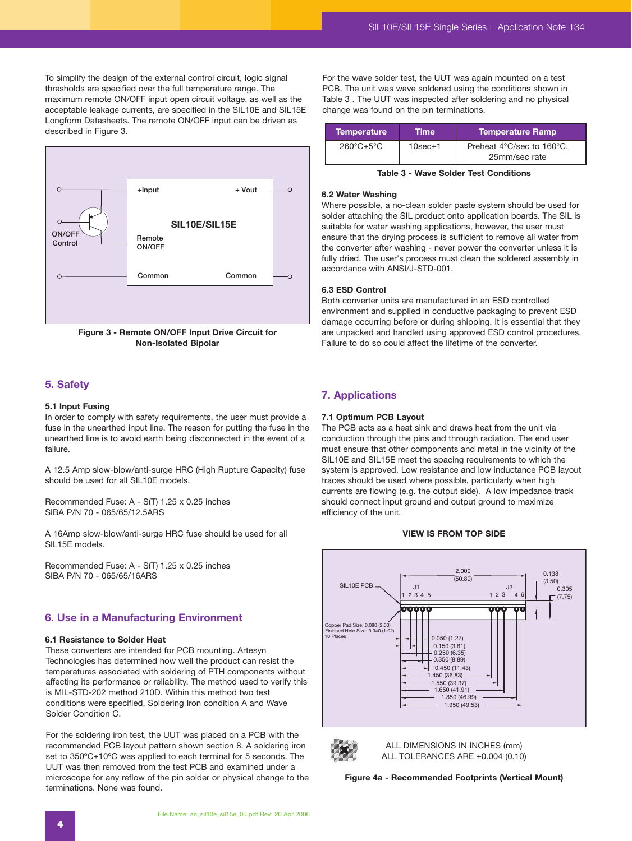To simplify the design of the external control circuit, logic signal thresholds are specified over the full temperature range. The maximum remote ON/OFF input open circuit voltage, as well as the acceptable leakage currents, are specified in the SIL10E and SIL15E Longform Datasheets. The remote ON/OFF input can be driven as described in Figure 3.



**Figure 3 - Remote ON/OFF Input Drive Circuit for Non-Isolated Bipolar**

# **5. Safety**

# **5.1 Input Fusing**

In order to comply with safety requirements, the user must provide a fuse in the unearthed input line. The reason for putting the fuse in the unearthed line is to avoid earth being disconnected in the event of a failure.

A 12.5 Amp slow-blow/anti-surge HRC (High Rupture Capacity) fuse should be used for all SIL10E models.

Recommended Fuse: A - S(T) 1.25 x 0.25 inches SIBA P/N 70 - 065/65/12.5ARS

A 16Amp slow-blow/anti-surge HRC fuse should be used for all SIL15E models.

Recommended Fuse: A - S(T) 1.25 x 0.25 inches SIBA P/N 70 - 065/65/16ARS

# **6. Use in a Manufacturing Environment**

#### **6.1 Resistance to Solder Heat**

These converters are intended for PCB mounting. Artesyn Technologies has determined how well the product can resist the temperatures associated with soldering of PTH components without affecting its performance or reliability. The method used to verify this is MIL-STD-202 method 210D. Within this method two test conditions were specified, Soldering Iron condition A and Wave Solder Condition C.

For the soldering iron test, the UUT was placed on a PCB with the recommended PCB layout pattern shown section 8. A soldering iron set to 350°C±10°C was applied to each terminal for 5 seconds. The UUT was then removed from the test PCB and examined under a microscope for any reflow of the pin solder or physical change to the terminations. None was found.

For the wave solder test, the UUT was again mounted on a test PCB. The unit was wave soldered using the conditions shown in Table 3 . The UUT was inspected after soldering and no physical change was found on the pin terminations.

| <b>Temperature</b>                | <b>Time</b>      | <b>Temperature Ramp</b>   |
|-----------------------------------|------------------|---------------------------|
| $260^{\circ}$ C $\pm 5^{\circ}$ C | $10$ sec $\pm$ 1 | Preheat 4°C/sec to 160°C. |
|                                   |                  | 25mm/sec rate             |

**Table 3 - Wave Solder Test Conditions**

#### **6.2 Water Washing**

Where possible, a no-clean solder paste system should be used for solder attaching the SIL product onto application boards. The SIL is suitable for water washing applications, however, the user must ensure that the drying process is sufficient to remove all water from the converter after washing - never power the converter unless it is fully dried. The user's process must clean the soldered assembly in accordance with ANSI/J-STD-001.

#### **6.3 ESD Control**

Both converter units are manufactured in an ESD controlled environment and supplied in conductive packaging to prevent ESD damage occurring before or during shipping. It is essential that they are unpacked and handled using approved ESD control procedures. Failure to do so could affect the lifetime of the converter.

# **7. Applications**

#### **7.1 Optimum PCB Layout**

The PCB acts as a heat sink and draws heat from the unit via conduction through the pins and through radiation. The end user must ensure that other components and metal in the vicinity of the SIL10E and SIL15E meet the spacing requirements to which the system is approved. Low resistance and low inductance PCB layout traces should be used where possible, particularly when high currents are flowing (e.g. the output side). A low impedance track should connect input ground and output ground to maximize efficiency of the unit.

#### **VIEW IS FROM TOP SIDE**





ALL DIMENSIONS IN INCHES (mm) ALL TOLERANCES ARE ±0.004 (0.10)

**Figure 4a - Recommended Footprints (Vertical Mount)**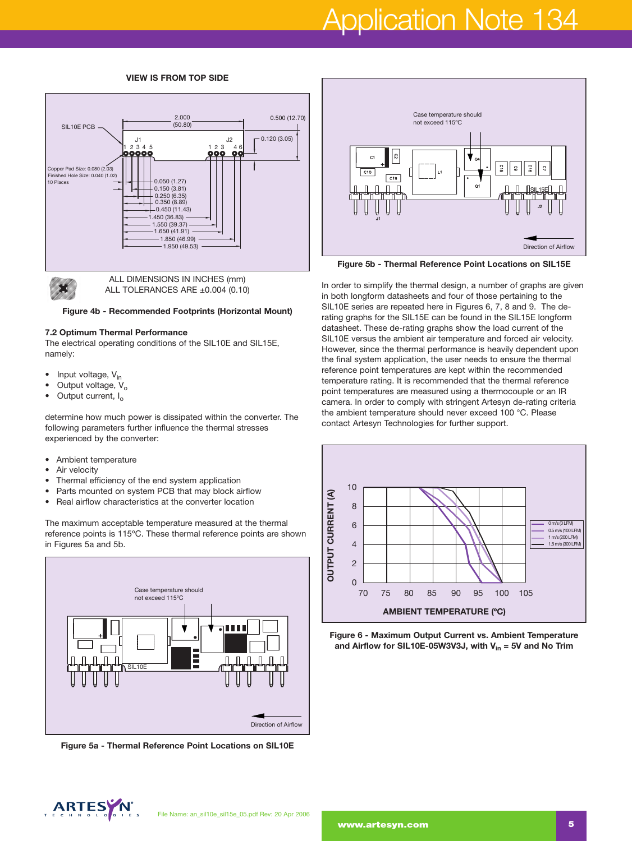# Application Note 134

#### **VIEW IS FROM TOP SIDE**





ALL DIMENSIONS IN INCHES (mm) ALL TOLERANCES ARE ±0.004 (0.10)

**Figure 4b - Recommended Footprints (Horizontal Mount)**

#### **7.2 Optimum Thermal Performance**

The electrical operating conditions of the SIL10E and SIL15E, namely:

- Input voltage,  $V_{in}$
- Output voltage, V<sub>o</sub>
- Output current, I<sub>o</sub>

determine how much power is dissipated within the converter. The following parameters further influence the thermal stresses experienced by the converter:

- Ambient temperature
- Air velocity
- Thermal efficiency of the end system application
- Parts mounted on system PCB that may block airflow
- Real airflow characteristics at the converter location

The maximum acceptable temperature measured at the thermal reference points is 115ºC. These thermal reference points are shown in Figures 5a and 5b.



**Figure 5a - Thermal Reference Point Locations on SIL10E** 



**Figure 5b - Thermal Reference Point Locations on SIL15E** 

In order to simplify the thermal design, a number of graphs are given in both longform datasheets and four of those pertaining to the SIL10E series are repeated here in Figures 6, 7, 8 and 9. The derating graphs for the SIL15E can be found in the SIL15E longform datasheet. These de-rating graphs show the load current of the SIL10E versus the ambient air temperature and forced air velocity. However, since the thermal performance is heavily dependent upon the final system application, the user needs to ensure the thermal reference point temperatures are kept within the recommended temperature rating. It is recommended that the thermal reference point temperatures are measured using a thermocouple or an IR camera. In order to comply with stringent Artesyn de-rating criteria the ambient temperature should never exceed 100 °C. Please contact Artesyn Technologies for further support.



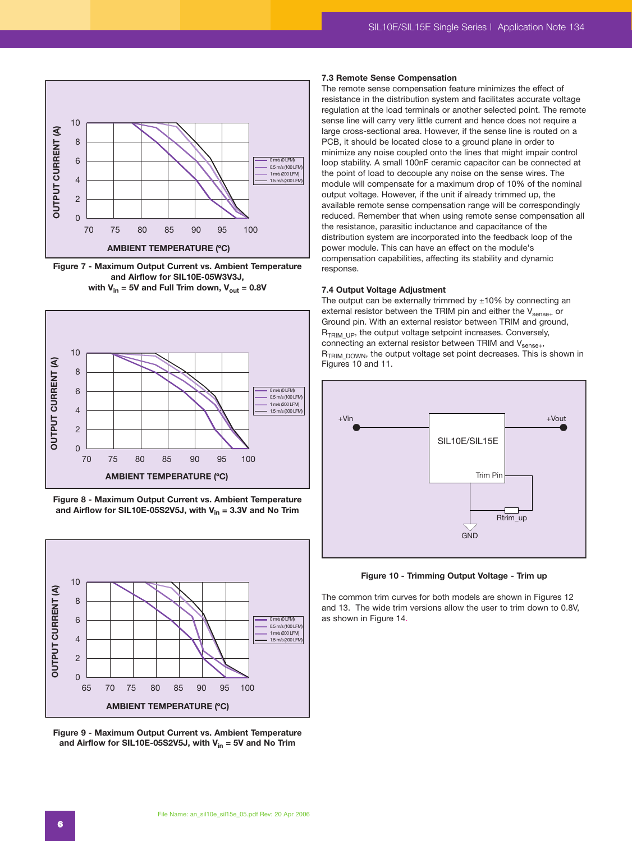

**Figure 7 - Maximum Output Current vs. Ambient Temperature and Airflow for SIL10E-05W3V3J,**  with  $V_{in}$  = 5V and Full Trim down,  $V_{out}$  = 0.8V



**Figure 8 - Maximum Output Current vs. Ambient Temperature** and Airflow for SIL10E-05S2V5J, with  $V_{in} = 3.3V$  and No Trim



**Figure 9 - Maximum Output Current vs. Ambient Temperature** and Airflow for SIL10E-05S2V5J, with  $V_{in}$  = 5V and No Trim

#### **7.3 Remote Sense Compensation**

The remote sense compensation feature minimizes the effect of resistance in the distribution system and facilitates accurate voltage regulation at the load terminals or another selected point. The remote sense line will carry very little current and hence does not require a large cross-sectional area. However, if the sense line is routed on a PCB, it should be located close to a ground plane in order to minimize any noise coupled onto the lines that might impair control loop stability. A small 100nF ceramic capacitor can be connected at the point of load to decouple any noise on the sense wires. The module will compensate for a maximum drop of 10% of the nominal output voltage. However, if the unit if already trimmed up, the available remote sense compensation range will be correspondingly reduced. Remember that when using remote sense compensation all the resistance, parasitic inductance and capacitance of the distribution system are incorporated into the feedback loop of the power module. This can have an effect on the module's compensation capabilities, affecting its stability and dynamic response.

#### **7.4 Output Voltage Adjustment**

The output can be externally trimmed by  $\pm 10\%$  by connecting an external resistor between the TRIM pin and either the  $V_{\rm sense+}$  or Ground pin. With an external resistor between TRIM and ground,  $R_{TRIM~UP}$ , the output voltage setpoint increases. Conversely, connecting an external resistor between TRIM and V<sub>sense+</sub>, R<sub>TRIM\_DOWN</sub>, the output voltage set point decreases. This is shown in Figures 10 and 11.



**Figure 10 - Trimming Output Voltage - Trim up**

The common trim curves for both models are shown in Figures 12 and 13. The wide trim versions allow the user to trim down to 0.8V, as shown in Figure 14.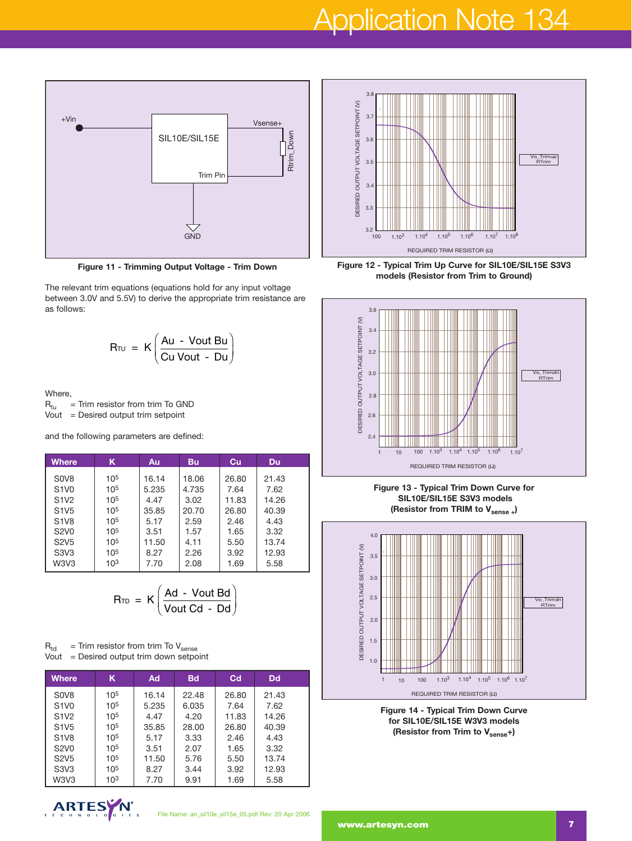# Application Note 134



**Figure 11 - Trimming Output Voltage - Trim Down**

The relevant trim equations (equations hold for any input voltage between 3.0V and 5.5V) to derive the appropriate trim resistance are as follows: **1 - Trimming Output Voltage**<br>equations (equations hold for a<br>d 5.5V) to derive the appropriat<br> $R_{\text{TU}} = K \left( \frac{Au - Vout Bu}{Cu Vout - Du} \right)$ Output Voltage<br>
puations hold for a<br>
ive the appropriat<br>
Au - Vout Bu<br>
Cu Vout - Du

$$
R_{\text{TU}} = K \left( \frac{Au - Vout Bu}{Cu Vout - Du} \right)
$$

Where,  $R_{tu}$  $=$  Trim resistor from trim To GND Vout  $=$  Desired output trim setpoint

and the following parameters are defined:

| <b>Where</b>                                                 | K.              | Au    | <b>Bu</b> | Cu    | <b>Du</b> |  |
|--------------------------------------------------------------|-----------------|-------|-----------|-------|-----------|--|
| S <sub>0</sub> V <sub>8</sub>                                | 10 <sup>5</sup> | 16.14 | 18.06     | 26.80 | 21.43     |  |
| S <sub>1</sub> V <sub>0</sub>                                | $10^{5}$        | 5.235 | 4.735     | 7.64  | 7.62      |  |
| S <sub>1</sub> V <sub>2</sub>                                | 10 <sup>5</sup> | 4.47  | 3.02      | 11.83 | 14.26     |  |
| S <sub>1</sub> V <sub>5</sub>                                | 10 <sup>5</sup> | 35.85 | 20.70     | 26.80 | 40.39     |  |
| <b>S1V8</b>                                                  | 10 <sup>5</sup> | 5.17  |           | 2.46  | 4.43      |  |
|                                                              |                 |       | 2.59      |       |           |  |
| S <sub>2</sub> V <sub>0</sub>                                | 10 <sup>5</sup> | 3.51  | 1.57      | 1.65  | 3.32      |  |
| <b>S2V5</b>                                                  | 10 <sup>5</sup> | 11.50 | 4.11      | 5.50  | 13.74     |  |
| S <sub>3</sub> V <sub>3</sub>                                | $10^{5}$        | 8.27  | 2.26      | 3.92  | 12.93     |  |
| W <sub>3</sub> V <sub>3</sub>                                | 10 <sup>3</sup> | 7.70  | 2.08      | 1.69  | 5.58      |  |
| $R_{TD}$ = $K\left(\frac{Ad - Vout Bd}{Vout Cd - Dd}\right)$ |                 |       |           |       |           |  |

$$
R_{TD} = K \left( \frac{Ad - Vout Bd}{Vout Cd - Dd} \right)
$$

 $R_{\text{td}}$  = Trim resistor from trim To V<sub>sense</sub> Vout = Desired output trim down setpoint

| <b>Where</b>                  | Κ               | Ad    | <b>Bd</b> | C <sub>d</sub> | <b>Dd</b> |
|-------------------------------|-----------------|-------|-----------|----------------|-----------|
| S <sub>0</sub> V <sub>8</sub> | 10 <sup>5</sup> | 16.14 | 22.48     | 26.80          | 21.43     |
| S <sub>1</sub> V <sub>0</sub> | 105             | 5,235 | 6.035     | 7.64           | 7.62      |
| S <sub>1</sub> V <sub>2</sub> | 10 <sup>5</sup> | 4.47  | 4.20      | 11.83          | 14.26     |
| S <sub>1</sub> V <sub>5</sub> | 10 <sup>5</sup> | 35.85 | 28.00     | 26.80          | 40.39     |
| <b>S1V8</b>                   | 105             | 5.17  | 3.33      | 2.46           | 4.43      |
| <b>S2V0</b>                   | 105             | 3.51  | 2.07      | 1.65           | 3.32      |
| S <sub>2</sub> V <sub>5</sub> | 10 <sup>5</sup> | 11.50 | 5.76      | 5.50           | 13.74     |
| S3V3                          | 105             | 8.27  | 3.44      | 3.92           | 12.93     |
| W3V3                          | 103             | 7.70  | 9.91      | 1.69           | 5.58      |





**Figure 12 - Typical Trim Up Curve for SIL10E/SIL15E S3V3 models (Resistor from Trim to Ground)**



**Figure 13 - Typical Trim Down Curve for SIL10E/SIL15E S3V3 models** (Resistor from TRIM to V<sub>sense+</sub>)



**Figure 14 - Typical Trim Down Curve for SIL10E/SIL15E W3V3 models** (Resistor from Trim to V<sub>sense</sub>+)